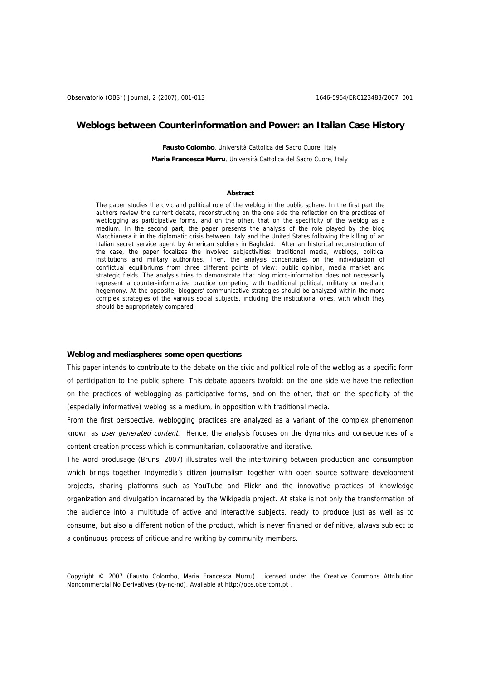## **Weblogs between Counterinformation and Power: an Italian Case History**

**Fausto Colombo**, Università Cattolica del Sacro Cuore, Italy **Maria Francesca Murru**, Università Cattolica del Sacro Cuore, Italy

## **Abstract**

The paper studies the civic and political role of the weblog in the public sphere. In the first part the authors review the current debate, reconstructing on the one side the reflection on the practices of weblogging as participative forms, and on the other, that on the specificity of the weblog as a medium. In the second part, the paper presents the analysis of the role played by the blog Macchianera.it in the diplomatic crisis between Italy and the United States following the killing of an Italian secret service agent by American soldiers in Baghdad. After an historical reconstruction of the case, the paper focalizes the involved subjectivities: traditional media, weblogs, political institutions and military authorities. Then, the analysis concentrates on the individuation of conflictual equilibriums from three different points of view: public opinion, media market and strategic fields. The analysis tries to demonstrate that blog micro-information does not necessarily represent a counter-informative practice competing with traditional political, military or mediatic hegemony. At the opposite, bloggers' communicative strategies should be analyzed within the more complex strategies of the various social subjects, including the institutional ones, with which they should be appropriately compared.

#### **Weblog and mediasphere: some open questions**

This paper intends to contribute to the debate on the civic and political role of the weblog as a specific form of participation to the public sphere. This debate appears twofold: on the one side we have the reflection on the practices of weblogging as participative forms, and on the other, that on the specificity of the (especially informative) weblog as a medium, in opposition with traditional media.

From the first perspective, weblogging practices are analyzed as a variant of the complex phenomenon known as user generated content. Hence, the analysis focuses on the dynamics and consequences of a content creation process which is communitarian, collaborative and iterative.

The word produsage (Bruns, 2007) illustrates well the intertwining between production and consumption which brings together Indymedia's citizen journalism together with open source software development projects, sharing platforms such as YouTube and Flickr and the innovative practices of knowledge organization and divulgation incarnated by the Wikipedia project. At stake is not only the transformation of the audience into a multitude of active and interactive subjects, ready to produce just as well as to consume, but also a different notion of the product, which is never finished or definitive, always subject to a continuous process of critique and re-writing by community members.

Copyright © 2007 (Fausto Colombo, Maria Francesca Murru). Licensed under the Creative Commons Attribution Noncommercial No Derivatives (by-nc-nd). Available at http://obs.obercom.pt .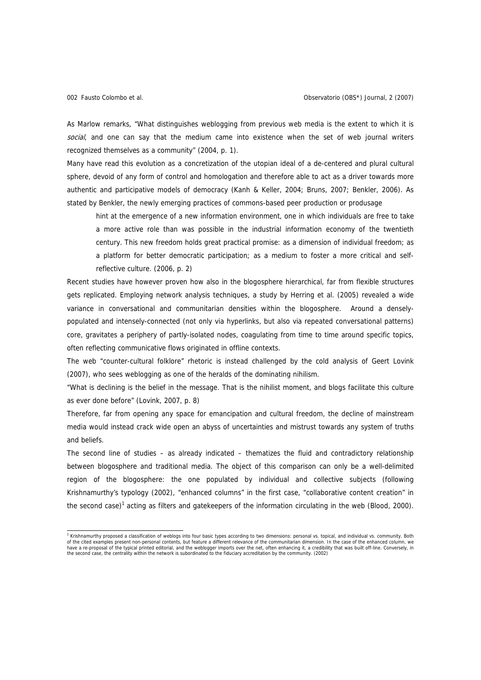As Marlow remarks, "What distinguishes weblogging from previous web media is the extent to which it is social, and one can say that the medium came into existence when the set of web journal writers recognized themselves as a community" (2004, p. 1).

Many have read this evolution as a concretization of the utopian ideal of a de-centered and plural cultural sphere, devoid of any form of control and homologation and therefore able to act as a driver towards more authentic and participative models of democracy (Kanh & Keller, 2004; Bruns, 2007; Benkler, 2006). As stated by Benkler, the newly emerging practices of commons-based peer production or produsage

hint at the emergence of a new information environment, one in which individuals are free to take a more active role than was possible in the industrial information economy of the twentieth century. This new freedom holds great practical promise: as a dimension of individual freedom; as a platform for better democratic participation; as a medium to foster a more critical and selfreflective culture. (2006, p. 2)

Recent studies have however proven how also in the blogosphere hierarchical, far from flexible structures gets replicated. Employing network analysis techniques, a study by Herring et al. (2005) revealed a wide variance in conversational and communitarian densities within the blogosphere. Around a denselypopulated and intensely-connected (not only via hyperlinks, but also via repeated conversational patterns) core, gravitates a periphery of partly-isolated nodes, coagulating from time to time around specific topics, often reflecting communicative flows originated in offline contexts.

The web "counter-cultural folklore" rhetoric is instead challenged by the cold analysis of Geert Lovink (2007), who sees weblogging as one of the heralds of the dominating nihilism.

"What is declining is the belief in the message. That is the nihilist moment, and blogs facilitate this culture as ever done before" (Lovink, 2007, p. 8)

Therefore, far from opening any space for emancipation and cultural freedom, the decline of mainstream media would instead crack wide open an abyss of uncertainties and mistrust towards any system of truths and beliefs.

The second line of studies – as already indicated – thematizes the fluid and contradictory relationship between blogosphere and traditional media. The object of this comparison can only be a well-delimited region of the blogosphere: the one populated by individual and collective subjects (following Krishnamurthy's typology (2002), "enhanced columns" in the first case, "collaborative content creation" in the second case)<sup>1</sup> acting as filters and gatekeepers of the information circulating in the web (Blood, 2000).

<sup>&</sup>lt;sup>1</sup> Krishnamurthy proposed a classification of weblogs into four basic types according to two dimensions: personal vs. topical, and individual vs. community. Both of the cited examples present non-personal contents, but feature a different relevance of the communitarian dimension. In the case of the enhanced column, we have a re-proposal of the typical printed editorial, and the weblogger imports over the net, often enhancing it, a credibility that was built off-line. Conversely, in<br>the second case, the centrality within the network is s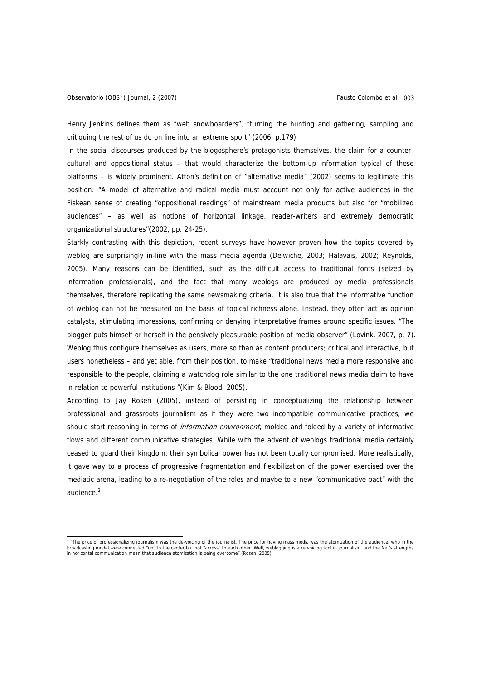Henry Jenkins defines them as "web snowboarders", "turning the hunting and gathering, sampling and critiquing the rest of us do on line into an extreme sport" (2006, p.179)

In the social discourses produced by the blogosphere's protagonists themselves, the claim for a countercultural and oppositional status – that would characterize the bottom-up information typical of these platforms – is widely prominent. Atton's definition of "alternative media" (2002) seems to legitimate this position: "A model of alternative and radical media must account not only for active audiences in the Fiskean sense of creating "oppositional readings" of mainstream media products but also for "mobilized audiences" – as well as notions of horizontal linkage, reader-writers and extremely democratic organizational structures"(2002, pp. 24-25).

Starkly contrasting with this depiction, recent surveys have however proven how the topics covered by weblog are surprisingly in-line with the mass media agenda (Delwiche, 2003; Halavais, 2002; Reynolds, 2005). Many reasons can be identified, such as the difficult access to traditional fonts (seized by information professionals), and the fact that many weblogs are produced by media professionals themselves, therefore replicating the same newsmaking criteria. It is also true that the informative function of weblog can not be measured on the basis of topical richness alone. Instead, they often act as opinion catalysts, stimulating impressions, confirming or denying interpretative frames around specific issues. "The blogger puts himself or herself in the pensively pleasurable position of media observer" (Lovink, 2007, p. 7). Weblog thus configure themselves as users, more so than as content producers; critical and interactive, but users nonetheless – and yet able, from their position, to make "traditional news media more responsive and responsible to the people, claiming a watchdog role similar to the one traditional news media claim to have in relation to powerful institutions "(Kim & Blood, 2005).

According to Jay Rosen (2005), instead of persisting in conceptualizing the relationship between professional and grassroots journalism as if they were two incompatible communicative practices, we should start reasoning in terms of information environment, molded and folded by a variety of informative flows and different communicative strategies. While with the advent of weblogs traditional media certainly ceased to guard their kingdom, their symbolical power has not been totally compromised. More realistically, it gave way to a process of progressive fragmentation and flexibilization of the power exercised over the mediatic arena, leading to a re-negotiation of the roles and maybe to a new "communicative pact" with the audience $^2$ 

<sup>&</sup>lt;sup>2</sup> "The price of professionalizing journalism was the de-voicing of the journalist. The price for having mass media was the atomization of the audience, who in the broadcasting model were connected "up" to the center but not "across" to each other. Well, weblogging is a re-voicing tool in journalism, and the Net's strengths in horizontal communication mean that audience atomization is being overcome" (Rosen, 2005)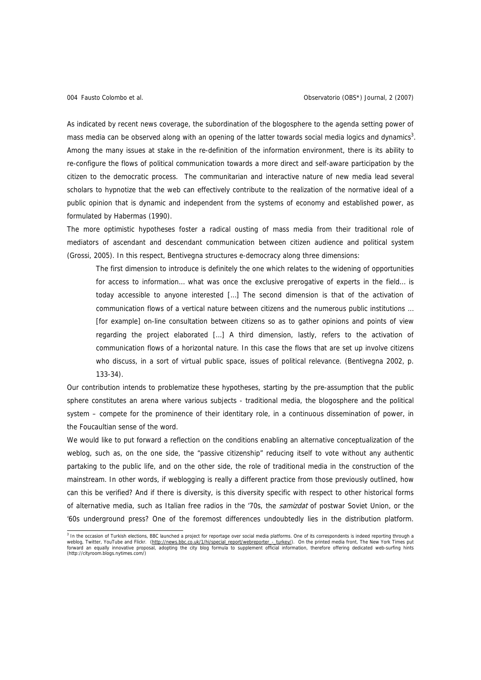As indicated by recent news coverage, the subordination of the blogosphere to the agenda setting power of mass media can be observed along with an opening of the latter towards social media logics and dynamics<sup>3</sup>. Among the many issues at stake in the re-definition of the information environment, there is its ability to re-configure the flows of political communication towards a more direct and self-aware participation by the citizen to the democratic process. The communitarian and interactive nature of new media lead several scholars to hypnotize that the web can effectively contribute to the realization of the normative ideal of a public opinion that is dynamic and independent from the systems of economy and established power, as formulated by Habermas (1990).

The more optimistic hypotheses foster a radical ousting of mass media from their traditional role of mediators of ascendant and descendant communication between citizen audience and political system (Grossi, 2005). In this respect, Bentivegna structures e-democracy along three dimensions:

The first dimension to introduce is definitely the one which relates to the widening of opportunities for access to information… what was once the exclusive prerogative of experts in the field… is today accessible to anyone interested […] The second dimension is that of the activation of communication flows of a vertical nature between citizens and the numerous public institutions … [for example] on-line consultation between citizens so as to gather opinions and points of view regarding the project elaborated […] A third dimension, lastly, refers to the activation of communication flows of a horizontal nature. In this case the flows that are set up involve citizens who discuss, in a sort of virtual public space, issues of political relevance. (Bentivegna 2002, p. 133-34).

Our contribution intends to problematize these hypotheses, starting by the pre-assumption that the public sphere constitutes an arena where various subjects - traditional media, the blogosphere and the political system – compete for the prominence of their identitary role, in a continuous dissemination of power, in the Foucaultian sense of the word.

We would like to put forward a reflection on the conditions enabling an alternative conceptualization of the weblog, such as, on the one side, the "passive citizenship" reducing itself to vote without any authentic partaking to the public life, and on the other side, the role of traditional media in the construction of the mainstream. In other words, if weblogging is really a different practice from those previously outlined, how can this be verified? And if there is diversity, is this diversity specific with respect to other historical forms of alternative media, such as Italian free radios in the '70s, the samizdat of postwar Soviet Union, or the '60s underground press? One of the foremost differences undoubtedly lies in the distribution platform.

<sup>&</sup>lt;sup>3</sup> In the occasion of Turkish elections, BBC launched a project for reportage over social media platforms. One of its correspondents is indeed reporting through a weblog, Twitter, YouTube and Flickr. (http://news.bbc.co.uk/1/hi/special\_report/webreporter\_-\_turkey/). On the printed media front, The New York Times put forward an equally innovative proposal, adopting the city blog formula to supplement official information, therefore offering dedicated web-surfing hints (http://cityroom.blogs.nytimes.com/)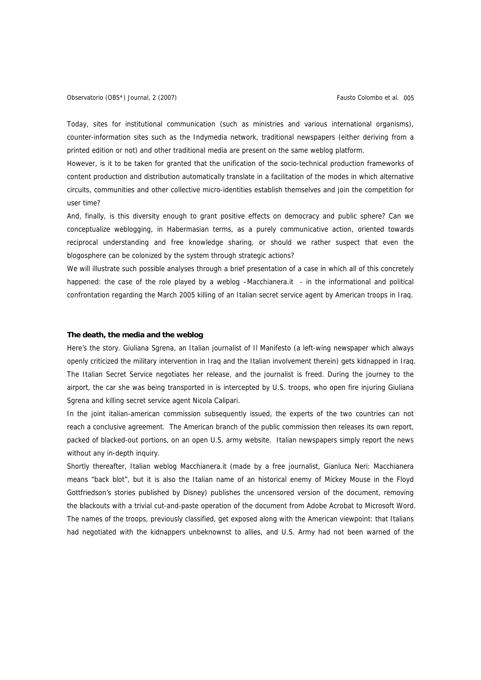Today, sites for institutional communication (such as ministries and various international organisms), counter-information sites such as the Indymedia network, traditional newspapers (either deriving from a printed edition or not) and other traditional media are present on the same weblog platform.

However, is it to be taken for granted that the unification of the socio-technical production frameworks of content production and distribution automatically translate in a facilitation of the modes in which alternative circuits, communities and other collective micro-identities establish themselves and join the competition for user time?

And, finally, is this diversity enough to grant positive effects on democracy and public sphere? Can we conceptualize weblogging, in Habermasian terms, as a purely communicative action, oriented towards reciprocal understanding and free knowledge sharing, or should we rather suspect that even the blogosphere can be colonized by the system through strategic actions?

We will illustrate such possible analyses through a brief presentation of a case in which all of this concretely happened: the case of the role played by a weblog -Macchianera.it - in the informational and political confrontation regarding the March 2005 killing of an Italian secret service agent by American troops in Iraq.

#### **The death, the media and the weblog**

Here's the story. Giuliana Sgrena, an Italian journalist of Il Manifesto (a left-wing newspaper which always openly criticized the military intervention in Iraq and the Italian involvement therein) gets kidnapped in Iraq. The Italian Secret Service negotiates her release, and the journalist is freed. During the journey to the airport, the car she was being transported in is intercepted by U.S. troops, who open fire injuring Giuliana Sgrena and killing secret service agent Nicola Calipari.

In the joint italian-american commission subsequently issued, the experts of the two countries can not reach a conclusive agreement. The American branch of the public commission then releases its own report, packed of blacked-out portions, on an open U.S. army website. Italian newspapers simply report the news without any in-depth inquiry.

Shortly thereafter, Italian weblog Macchianera.it (made by a free journalist, Gianluca Neri: Macchianera means "back blot", but it is also the Italian name of an historical enemy of Mickey Mouse in the Floyd Gottfriedson's stories published by Disney) publishes the uncensored version of the document, removing the blackouts with a trivial cut-and-paste operation of the document from Adobe Acrobat to Microsoft Word. The names of the troops, previously classified, get exposed along with the American viewpoint: that Italians had negotiated with the kidnappers unbeknownst to allies, and U.S. Army had not been warned of the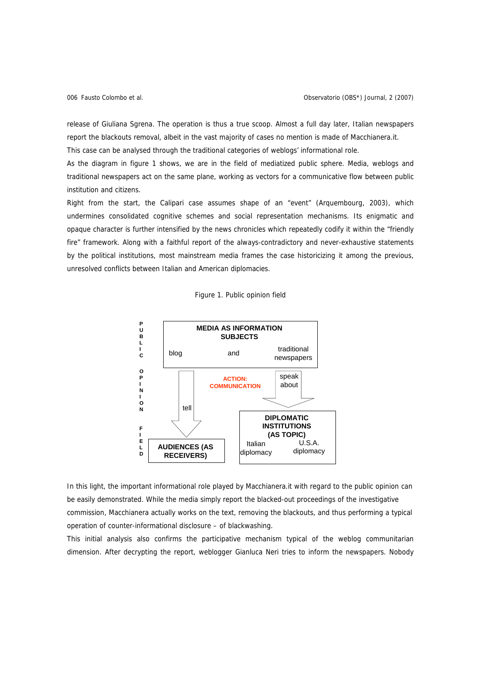release of Giuliana Sgrena. The operation is thus a true scoop. Almost a full day later, Italian newspapers report the blackouts removal, albeit in the vast majority of cases no mention is made of Macchianera.it.

This case can be analysed through the traditional categories of weblogs' informational role.

As the diagram in figure 1 shows, we are in the field of mediatized public sphere. Media, weblogs and traditional newspapers act on the same plane, working as vectors for a communicative flow between public institution and citizens.

Right from the start, the Calipari case assumes shape of an "event" (Arquembourg, 2003), which undermines consolidated cognitive schemes and social representation mechanisms. Its enigmatic and opaque character is further intensified by the news chronicles which repeatedly codify it within the "friendly fire" framework. Along with a faithful report of the always-contradictory and never-exhaustive statements by the political institutions, most mainstream media frames the case historicizing it among the previous, unresolved conflicts between Italian and American diplomacies.





In this light, the important informational role played by Macchianera.it with regard to the public opinion can be easily demonstrated. While the media simply report the blacked-out proceedings of the investigative commission, Macchianera actually works on the text, removing the blackouts, and thus performing a typical operation of counter-informational disclosure – of blackwashing.

This initial analysis also confirms the participative mechanism typical of the weblog communitarian dimension. After decrypting the report, weblogger Gianluca Neri tries to inform the newspapers. Nobody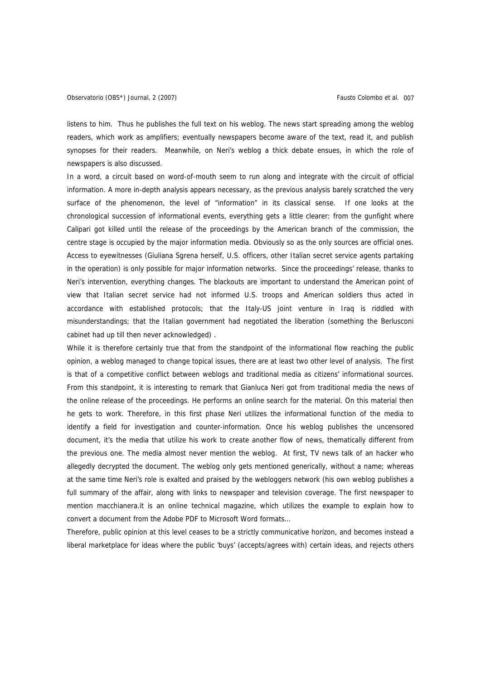listens to him. Thus he publishes the full text on his weblog. The news start spreading among the weblog readers, which work as amplifiers; eventually newspapers become aware of the text, read it, and publish synopses for their readers. Meanwhile, on Neri's weblog a thick debate ensues, in which the role of newspapers is also discussed.

In a word, a circuit based on word-of-mouth seem to run along and integrate with the circuit of official information. A more in-depth analysis appears necessary, as the previous analysis barely scratched the very surface of the phenomenon, the level of "information" in its classical sense. If one looks at the chronological succession of informational events, everything gets a little clearer: from the gunfight where Calipari got killed until the release of the proceedings by the American branch of the commission, the centre stage is occupied by the major information media. Obviously so as the only sources are official ones. Access to eyewitnesses (Giuliana Sgrena herself, U.S. officers, other Italian secret service agents partaking in the operation) is only possible for major information networks. Since the proceedings' release, thanks to Neri's intervention, everything changes. The blackouts are important to understand the American point of view that Italian secret service had not informed U.S. troops and American soldiers thus acted in accordance with established protocols; that the Italy-US joint venture in Iraq is riddled with misunderstandings; that the Italian government had negotiated the liberation (something the Berlusconi cabinet had up till then never acknowledged) .

While it is therefore certainly true that from the standpoint of the informational flow reaching the public opinion, a weblog managed to change topical issues, there are at least two other level of analysis. The first is that of a competitive conflict between weblogs and traditional media as citizens' informational sources. From this standpoint, it is interesting to remark that Gianluca Neri got from traditional media the news of the online release of the proceedings. He performs an online search for the material. On this material then he gets to work. Therefore, in this first phase Neri utilizes the informational function of the media to identify a field for investigation and counter-information. Once his weblog publishes the uncensored document, it's the media that utilize his work to create another flow of news, thematically different from the previous one. The media almost never mention the weblog. At first, TV news talk of an hacker who allegedly decrypted the document. The weblog only gets mentioned generically, without a name; whereas at the same time Neri's role is exalted and praised by the webloggers network (his own weblog publishes a full summary of the affair, along with links to newspaper and television coverage. The first newspaper to mention macchianera.it is an online technical magazine, which utilizes the example to explain how to convert a document from the Adobe PDF to Microsoft Word formats…

Therefore, public opinion at this level ceases to be a strictly communicative horizon, and becomes instead a liberal marketplace for ideas where the public 'buys' (accepts/agrees with) certain ideas, and rejects others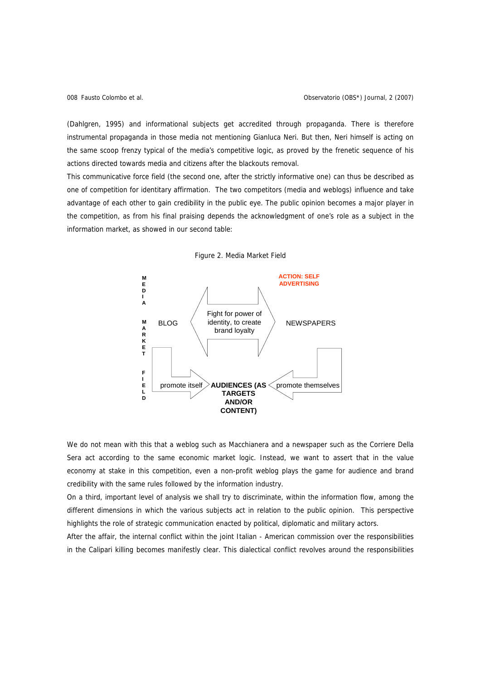(Dahlgren, 1995) and informational subjects get accredited through propaganda. There is therefore instrumental propaganda in those media not mentioning Gianluca Neri. But then, Neri himself is acting on the same scoop frenzy typical of the media's competitive logic, as proved by the frenetic sequence of his actions directed towards media and citizens after the blackouts removal.

This communicative force field (the second one, after the strictly informative one) can thus be described as one of competition for identitary affirmation. The two competitors (media and weblogs) influence and take advantage of each other to gain credibility in the public eye. The public opinion becomes a major player in the competition, as from his final praising depends the acknowledgment of one's role as a subject in the information market, as showed in our second table:





We do not mean with this that a weblog such as Macchianera and a newspaper such as the Corriere Della Sera act according to the same economic market logic. Instead, we want to assert that in the value economy at stake in this competition, even a non-profit weblog plays the game for audience and brand credibility with the same rules followed by the information industry.

On a third, important level of analysis we shall try to discriminate, within the information flow, among the different dimensions in which the various subjects act in relation to the public opinion. This perspective highlights the role of strategic communication enacted by political, diplomatic and military actors.

After the affair, the internal conflict within the joint Italian - American commission over the responsibilities in the Calipari killing becomes manifestly clear. This dialectical conflict revolves around the responsibilities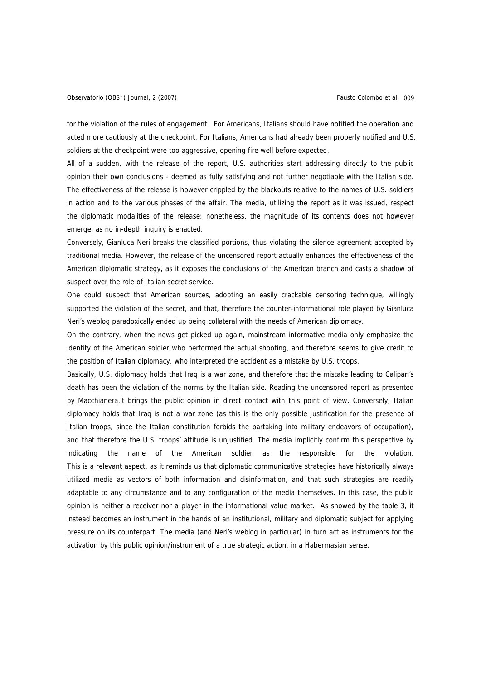for the violation of the rules of engagement. For Americans, Italians should have notified the operation and acted more cautiously at the checkpoint. For Italians, Americans had already been properly notified and U.S. soldiers at the checkpoint were too aggressive, opening fire well before expected.

All of a sudden, with the release of the report, U.S. authorities start addressing directly to the public opinion their own conclusions - deemed as fully satisfying and not further negotiable with the Italian side. The effectiveness of the release is however crippled by the blackouts relative to the names of U.S. soldiers in action and to the various phases of the affair. The media, utilizing the report as it was issued, respect the diplomatic modalities of the release; nonetheless, the magnitude of its contents does not however emerge, as no in-depth inquiry is enacted.

Conversely, Gianluca Neri breaks the classified portions, thus violating the silence agreement accepted by traditional media. However, the release of the uncensored report actually enhances the effectiveness of the American diplomatic strategy, as it exposes the conclusions of the American branch and casts a shadow of suspect over the role of Italian secret service.

One could suspect that American sources, adopting an easily crackable censoring technique, willingly supported the violation of the secret, and that, therefore the counter-informational role played by Gianluca Neri's weblog paradoxically ended up being collateral with the needs of American diplomacy.

On the contrary, when the news get picked up again, mainstream informative media only emphasize the identity of the American soldier who performed the actual shooting, and therefore seems to give credit to the position of Italian diplomacy, who interpreted the accident as a mistake by U.S. troops.

Basically, U.S. diplomacy holds that Iraq is a war zone, and therefore that the mistake leading to Calipari's death has been the violation of the norms by the Italian side. Reading the uncensored report as presented by Macchianera.it brings the public opinion in direct contact with this point of view. Conversely, Italian diplomacy holds that Iraq is not a war zone (as this is the only possible justification for the presence of Italian troops, since the Italian constitution forbids the partaking into military endeavors of occupation), and that therefore the U.S. troops' attitude is unjustified. The media implicitly confirm this perspective by indicating the name of the American soldier as the responsible for the violation. This is a relevant aspect, as it reminds us that diplomatic communicative strategies have historically always utilized media as vectors of both information and disinformation, and that such strategies are readily adaptable to any circumstance and to any configuration of the media themselves. In this case, the public opinion is neither a receiver nor a player in the informational value market. As showed by the table 3, it instead becomes an instrument in the hands of an institutional, military and diplomatic subject for applying pressure on its counterpart. The media (and Neri's weblog in particular) in turn act as instruments for the activation by this public opinion/instrument of a true strategic action, in a Habermasian sense.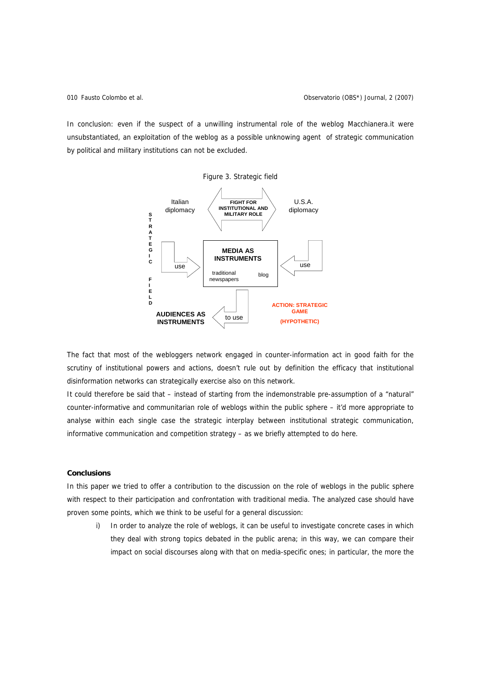In conclusion: even if the suspect of a unwilling instrumental role of the weblog Macchianera.it were unsubstantiated, an exploitation of the weblog as a possible unknowing agent of strategic communication by political and military institutions can not be excluded.



The fact that most of the webloggers network engaged in counter-information act in good faith for the scrutiny of institutional powers and actions, doesn't rule out by definition the efficacy that institutional disinformation networks can strategically exercise also on this network.

It could therefore be said that – instead of starting from the indemonstrable pre-assumption of a "natural" counter-informative and communitarian role of weblogs within the public sphere – it'd more appropriate to analyse within each single case the strategic interplay between institutional strategic communication, informative communication and competition strategy – as we briefly attempted to do here.

# **Conclusions**

In this paper we tried to offer a contribution to the discussion on the role of weblogs in the public sphere with respect to their participation and confrontation with traditional media. The analyzed case should have proven some points, which we think to be useful for a general discussion:

i) In order to analyze the role of weblogs, it can be useful to investigate concrete cases in which they deal with strong topics debated in the public arena; in this way, we can compare their impact on social discourses along with that on media-specific ones; in particular, the more the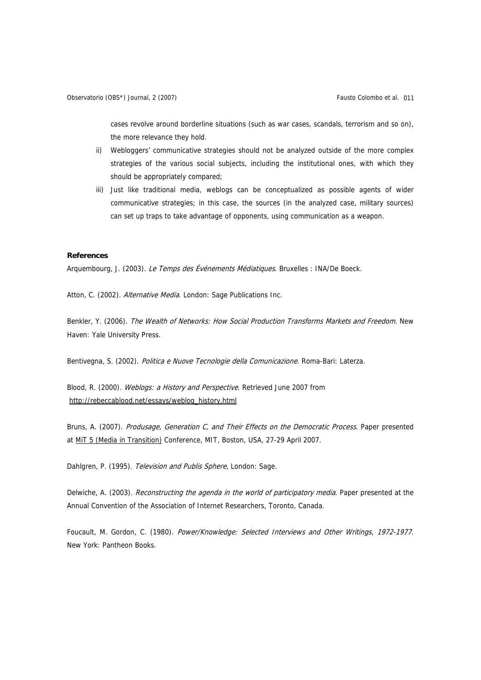cases revolve around borderline situations (such as war cases, scandals, terrorism and so on), the more relevance they hold.

- ii) Webloggers' communicative strategies should not be analyzed outside of the more complex strategies of the various social subjects, including the institutional ones, with which they should be appropriately compared;
- iii) Just like traditional media, weblogs can be conceptualized as possible agents of wider communicative strategies; in this case, the sources (in the analyzed case, military sources) can set up traps to take advantage of opponents, using communication as a weapon.

## **References**

Arquembourg, J. (2003). Le Temps des Événements Médiatiques. Bruxelles : INA/De Boeck.

Atton, C. (2002). Alternative Media. London: Sage Publications Inc.

Benkler, Y. (2006). The Wealth of Networks: How Social Production Transforms Markets and Freedom. New Haven: Yale University Press.

Bentivegna, S. (2002). Politica e Nuove Tecnologie della Comunicazione. Roma-Bari: Laterza.

Blood, R. (2000). Weblogs: a History and Perspective. Retrieved June 2007 from http://rebeccablood.net/essays/weblog\_history.html

Bruns, A. (2007). Produsage, Generation C, and Their Effects on the Democratic Process. Paper presented at MiT 5 (Media in Transition) Conference, MIT, Boston, USA, 27-29 April 2007.

Dahlgren, P. (1995). Television and Publis Sphere, London: Sage.

Delwiche, A. (2003). Reconstructing the agenda in the world of participatory media. Paper presented at the Annual Convention of the Association of Internet Researchers, Toronto, Canada.

Foucault, M. Gordon, C. (1980). Power/Knowledge: Selected Interviews and Other Writings, 1972-1977. New York: Pantheon Books.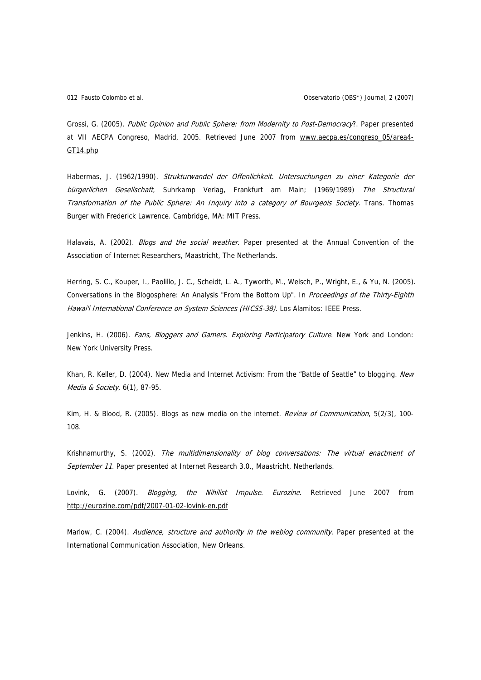Grossi, G. (2005). Public Opinion and Public Sphere: from Modernity to Post-Democracy?. Paper presented at VII AECPA Congreso, Madrid, 2005. Retrieved June 2007 from www.aecpa.es/congreso\_05/area4-GT14.php

Habermas, J. (1962/1990). Strukturwandel der Offenlichkeit. Untersuchungen zu einer Kategorie der bürgerlichen Gesellschaft, Suhrkamp Verlag, Frankfurt am Main; (1969/1989) The Structural Transformation of the Public Sphere: An Inquiry into a category of Bourgeois Society. Trans. Thomas Burger with Frederick Lawrence. Cambridge, MA: MIT Press.

Halavais, A. (2002). *Blogs and the social weather*. Paper presented at the Annual Convention of the Association of Internet Researchers, Maastricht, The Netherlands.

Herring, S. C., Kouper, I., Paolillo, J. C., Scheidt, L. A., Tyworth, M., Welsch, P., Wright, E., & Yu, N. (2005). Conversations in the Blogosphere: An Analysis "From the Bottom Up". In Proceedings of the Thirty-Eighth Hawai'i International Conference on System Sciences (HICSS-38). Los Alamitos: IEEE Press.

Jenkins, H. (2006). Fans, Bloggers and Gamers. Exploring Participatory Culture. New York and London: New York University Press.

Khan, R. Keller, D. (2004). New Media and Internet Activism: From the "Battle of Seattle" to blogging. New Media & Society, 6(1), 87-95.

Kim, H. & Blood, R. (2005). Blogs as new media on the internet. Review of Communication, 5(2/3), 100-108.

Krishnamurthy, S. (2002). The multidimensionality of blog conversations: The virtual enactment of September 11. Paper presented at Internet Research 3.0., Maastricht, Netherlands.

Lovink, G. (2007). *Blogging, the Nihilist Impulse. Eurozine*. Retrieved June 2007 from http://eurozine.com/pdf/2007-01-02-lovink-en.pdf

Marlow, C. (2004). Audience, structure and authority in the weblog community. Paper presented at the International Communication Association, New Orleans.